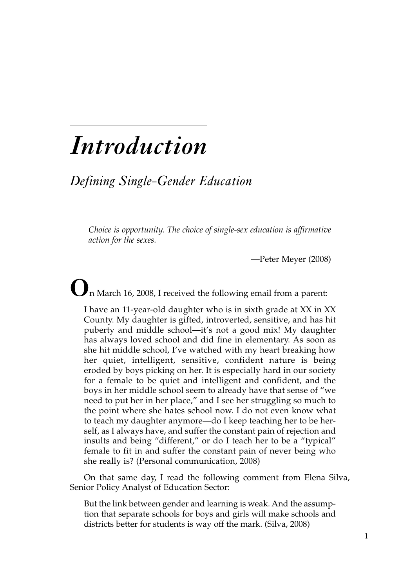## *Introduction*

*Defining Single-Gender Education*

*Choice is opportunity. The choice of single-sex education is affirmative action for the sexes.*

—Peter Meyer (2008)

**O**<sup>n</sup> March 16, 2008, <sup>I</sup> received the following email from <sup>a</sup> parent:

I have an 11-year-old daughter who is in sixth grade at XX in XX County. My daughter is gifted, introverted, sensitive, and has hit puberty and middle school—it's not a good mix! My daughter has always loved school and did fine in elementary. As soon as she hit middle school, I've watched with my heart breaking how her quiet, intelligent, sensitive, confident nature is being eroded by boys picking on her. It is especially hard in our society for a female to be quiet and intelligent and confident, and the boys in her middle school seem to already have that sense of "we need to put her in her place," and I see her struggling so much to the point where she hates school now. I do not even know what to teach my daughter anymore—do I keep teaching her to be herself, as I always have, and suffer the constant pain of rejection and insults and being "different," or do I teach her to be a "typical" female to fit in and suffer the constant pain of never being who she really is? (Personal communication, 2008)

On that same day, I read the following comment from Elena Silva, Senior Policy Analyst of Education Sector:

But the link between gender and learning is weak. And the assumption that separate schools for boys and girls will make schools and districts better for students is way off the mark. (Silva, 2008)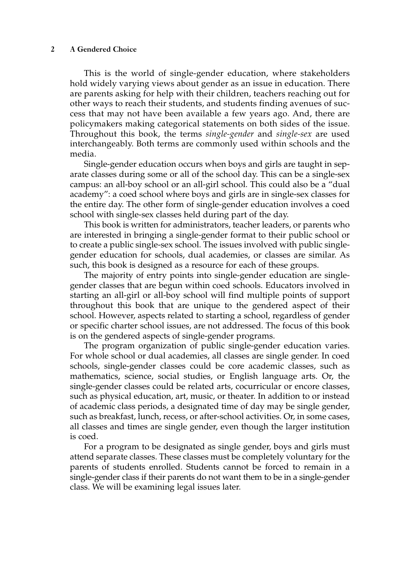## **2 A Gendered Choice**

This is the world of single-gender education, where stakeholders hold widely varying views about gender as an issue in education. There are parents asking for help with their children, teachers reaching out for other ways to reach their students, and students finding avenues of success that may not have been available a few years ago. And, there are policymakers making categorical statements on both sides of the issue. Throughout this book, the terms *single-gender* and *single-sex* are used interchangeably. Both terms are commonly used within schools and the media.

Single-gender education occurs when boys and girls are taught in separate classes during some or all of the school day. This can be a single-sex campus: an all-boy school or an all-girl school. This could also be a "dual academy": a coed school where boys and girls are in single-sex classes for the entire day. The other form of single-gender education involves a coed school with single-sex classes held during part of the day.

This book is written for administrators, teacher leaders, or parents who are interested in bringing a single-gender format to their public school or to create a public single-sex school. The issues involved with public singlegender education for schools, dual academies, or classes are similar. As such, this book is designed as a resource for each of these groups.

The majority of entry points into single-gender education are singlegender classes that are begun within coed schools. Educators involved in starting an all-girl or all-boy school will find multiple points of support throughout this book that are unique to the gendered aspect of their school. However, aspects related to starting a school, regardless of gender or specific charter school issues, are not addressed. The focus of this book is on the gendered aspects of single-gender programs.

The program organization of public single-gender education varies. For whole school or dual academies, all classes are single gender. In coed schools, single-gender classes could be core academic classes, such as mathematics, science, social studies, or English language arts. Or, the single-gender classes could be related arts, cocurricular or encore classes, such as physical education, art, music, or theater. In addition to or instead of academic class periods, a designated time of day may be single gender, such as breakfast, lunch, recess, or after-school activities. Or, in some cases, all classes and times are single gender, even though the larger institution is coed.

For a program to be designated as single gender, boys and girls must attend separate classes. These classes must be completely voluntary for the parents of students enrolled. Students cannot be forced to remain in a single-gender class if their parents do not want them to be in a single-gender class. We will be examining legal issues later.